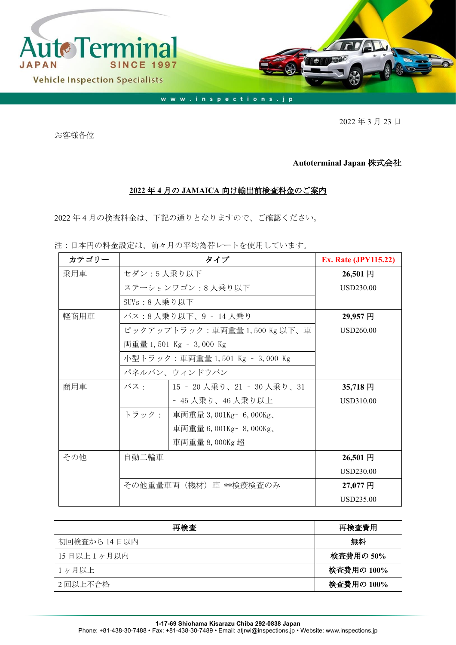

2022 年 3 月 23 日

お客様各位

## **Autoterminal Japan** 株式会社

## **2022** 年 **4** 月の **JAMAICA** 向け輸出前検査料金のご案内

2022 年 4 月の検査料金は、下記の通りとなりますので、ご確認ください。

注:日本円の料金設定は、前々月の平均為替レートを使用しています。

| カテゴリー | タイプ                             |                            | <b>Ex. Rate (JPY115.22)</b> |
|-------|---------------------------------|----------------------------|-----------------------------|
| 乗用車   | セダン:5人乗り以下                      |                            | 26,501円                     |
|       | ステーションワゴン:8人乗り以下                | USD230.00                  |                             |
|       | SUVs:8人乗り以下                     |                            |                             |
| 軽商用車  | バス:8 人乗り以下、9 ‐ 14 人乗り           | 29,957円                    |                             |
|       | ピックアップトラック:車両重量 1,500 Kg 以下、車   | USD260.00                  |                             |
|       |                                 | 両重量 1,501 Kg - 3,000 Kg    |                             |
|       | 小型トラック:車両重量 1,501 Kg – 3,000 Kg |                            |                             |
|       |                                 | パネルバン、ウィンドウバン              |                             |
| 商用車   | バス・                             | 15 - 20 人乗り、21 - 30 人乗り、31 | 35,718円                     |
|       |                                 | - 45 人乗り、46 人乗り以上          | USD310.00                   |
|       | トラック:                           | 車両重量 3,001Kg- 6,000Kg、     |                             |
|       |                                 | 車両重量 6,001Kg - 8,000Kg、    |                             |
|       |                                 | 車両重量 8,000Kg 超             |                             |
| その他   | 自動二輪車                           |                            | 26,501 円                    |
|       |                                 |                            | <b>USD230.00</b>            |
|       | その他重量車両(機材)車 **検疫検査のみ           |                            | 27,077 円                    |
|       |                                 |                            | USD235.00                   |

| 再検査          | 再検査費用      |
|--------------|------------|
| 初回検査から 14日以内 | 無料         |
| 15日以上1ヶ月以内   | 検査費用の 50%  |
| 1ヶ月以上        | 検査費用の 100% |
| 2回以上不合格      | 検査費用の 100% |